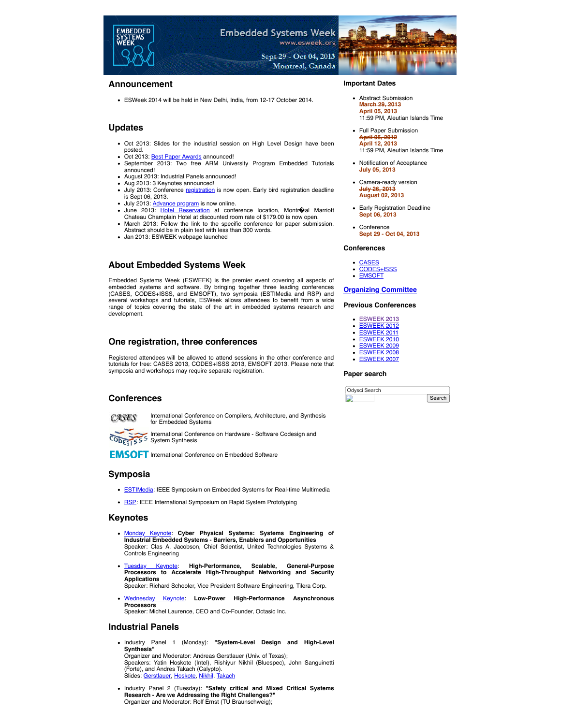

# **Announcement**

ESWeek 2014 will be held in New Delhi, India, from 12-17 October 2014.

# **Updates**

- Oct 2013: Slides for the industrial session on High Level Design have been posted.<br>Oct 2013: <u>Best Paper Awards</u> announced!
- 
- September 2013: Two free ARM University Program Embedded Tutorials announced!
- August 2013: Industrial Panels announced! Aug 2013: 3 Keynotes announced!
- July 2013: Conference [registration](https://esweek.org/archive_files/esweek2013/ESWeek_2013JLH_new.html) is now open. Early bird registration deadline
- is Sept 06, 2013.<br>July 2013: <u>[Advance program](https://esweek.org/archive_files/esweek2013/EmbeddedSystemsWeek2013_AdvanceProgram.pdf)</u> is now online.
- June 2013: [Hotel Reservation](https://esweek.org/archive_files/conferencevenue.html) at conference location, Montroal Marriott Chateau Champlain Hotel at discounted room rate of \$179.00 is now open.
- March 2013: Follow the link to the specific conference for paper submission. Abstract should be in plain text with less than 300 words.
- Jan 2013: ESWEEK webpage launched

# **About Embedded Systems Week**

Embedded Systems Week (ESWEEK) is the premier event covering all aspects of embedded systems and software. By bringing together three leading conferences (CASES, CODES+ISSS, and EMSOFT), two symposia (ESTIMedia and RSP) and several workshops and tutorials, ESWeek allows attendees to benefit from a wide range of topics covering the state of the art in embedded systems research and development.

# **One registration, three conferences**

Registered attendees will be allowed to attend sessions in the other conference and tutorials for free: CASES 2013, CODES+ISSS 2013, EMSOFT 2013. Please note that symposia and workshops may require separate registration.

### **Conferences**

CASES

International Conference on Compilers, Architecture, and Synthesis for Embedded Systems

International Conference on Hardware - Software Codesign and CODES1555 System Synthesis

**EMSOFT** International Conference on Embedded Software

### **Symposia**

- **[ESTIMedia](http://www.estimedia.org/): IEEE Symposium on Embedded Systems for Real-time Multimedia**
- **BSP:** IEEE International Symposium on Rapid System Prototyping

### **Keynotes**

- [Monday Keynote](https://esweek.org/archive_files/esweek2013/Keynote1_Jacobson.pdf): **Cyber Physical Systems: Systems Engineering of Industrial Embedded Systems - Barriers, Enablers and Opportunities** Speaker: Clas A. Jacobson, Chief Scientist, United Technologies Systems & Controls Engineering
- [Tuesday Keynote:](https://esweek.org/archive_files/esweek2013/Keynote2_Schooler.pdf) **High-Performance, Scalable, General-Purpose Processors to Accelerate High-Throughput Networking and Security Applications** Speaker: Richard Schooler, Vice President Software Engineering, Tilera Corp.
	-
- [Wednesday Keynote](https://esweek.org/archive_files/esweek2013/Keynote3_Laurence.pdf): **Low-Power High-Performance Asynchronous Processors** Speaker: Michel Laurence, CEO and Co-Founder, Octasic Inc.

### **Industrial Panels**

- Industry Panel 1 (Monday): **"System-Level Design and High-Level Synthesis"** Organizer and Moderator: Andreas Gerstlauer (Univ. of Texas); Speakers: Yatin Hoskote (Intel), Rishiyur Nikhil (Bluespec), John Sanguinetti (Forte), and Andres Takach (Calypto). Slides: [Gerstlauer](https://esweek.org/archive_files/esweek2013/hld/Gerstlauer.pdf), [Hoskote,](https://esweek.org/archive_files/esweek2013/hld/Hoskote.pdf) [Nikhil,](https://esweek.org/archive_files/esweek2013/hld/Nikhil.pdf) [Takach](https://esweek.org/archive_files/esweek2013/hld/Takach.pdf)
- Industry Panel 2 (Tuesday): **"Safety critical and Mixed Critical Systems Research Are we Addressing the Right Challenges?"** Organizer and Moderator: Rolf Ernst (TU Braunschweig);

#### **Important Dates**

- Abstract Submission **March 29, 2013 April 05, 2013** 11:59 PM, Aleutian Islands Time
- Full Paper Submission **April 05, 2012 April 12, 2013**
	- 11:59 PM, Aleutian Islands Time
- Notification of Acceptance **July 05, 2013**
- Camera-ready version **July 26, 2013 August 02, 2013**
- Early Registration Deadline **Sept 06, 2013**
- Conference **Sept 29 - Oct 04, 2013**

#### **Conferences**

- [CASES](https://esweek.org/archive_files/esweek2013/cases/index.html) [CODES+ISSS](https://esweek.org/archive_files/esweek2013/codesisss/index.html)
- [EMSOFT](https://esweek.org/archive_files/esweek2013/emsoft/index.html)
- 

**[Organizing](https://esweek.org/archive_files/esweek2013/committee.html) Committee**

**Previous Conferences**

| SWFFK 20 |  |
|----------|--|
| ccv :    |  |

- [ESWEEK 2012](https://esweek.org/archive_files/esweek2012/index.html) [ESWEEK 2011](https://esweek.org/archive_files/esweek2011/index.html) [ESWEEK 2010](http://www.public.asu.edu/~ashriva6/esweek2010)
- [ESWEEK 2009](http://esweek09.inrialpes.fr/)
- [ESWEEK 2008](http://thedude.cc.gt.atl.ga.us/)
- [ESWEEK 2007](http://www.ida.liu.se/conferences/codes/esweek)

#### **Paper search**

| Odysci Search |        |
|---------------|--------|
|               | Search |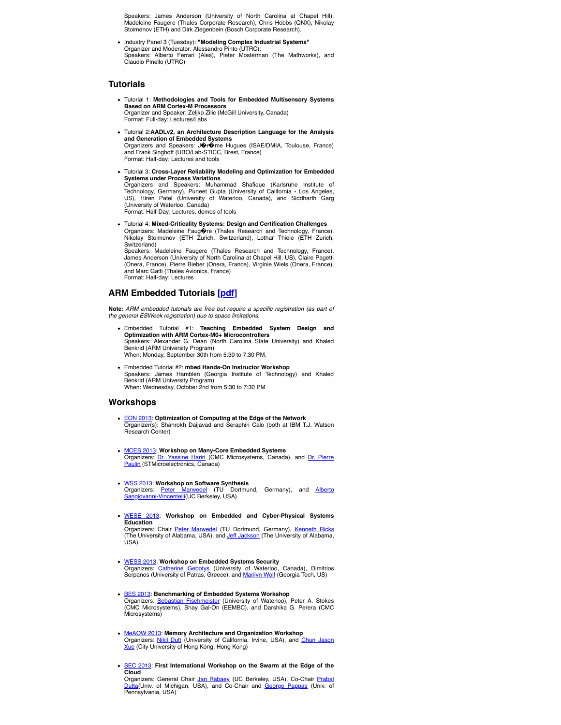Speakers: James Anderson (University of North Carolina at Chapel Hill), Madeleine Faugere (Thales Corporate Research), Chris Hobbs (QNX), Nikolay Stoimenov (ETH) and Dirk Ziegenbein (Bosch Corporate Research).

Industry Panel 3 (Tuesday): **"Modeling Complex Industrial Systems"** Organizer and Moderator: Alessandro Pinto (UTRC); Speakers: Alberto Ferrari (Ales), Pieter Mosterman (The Mathworks), and Claudio Pinello (UTRC) .

#### **Tutorials**

- Tutorial 1: **Methodologies and Tools for Embedded Multisensory Systems Based on ARM Cortex-M Processors** Organizer and Speaker: Zeljko Zilic (McGill University, Canada) Format: Full-day; Lectures/Labs
- Tutorial 2:**AADLv2, an Architecture Description Language for the Analysis and Generation of Embedded Systems** Organizers and Speakers: J�r�me Hugues (ISAE/DMIA, Toulouse, France)

and Frank Singhoff (UBO/Lab-STICC, Brest, France) Format: Half-day; Lectures and tools

Tutorial 3: **Cross-Layer Reliability Modeling and Optimization for Embedded Systems under Process Variations** Organizers and Speakers: Muhammad Shafique (Karlsruhe Institute of Technology, Germany), Puneet Gupta (University of California - Los Angeles, US), Hiren Patel (University of Waterloo, Canada), and Siddharth Garg (University of Waterloo, Canada)

Format: Half-Day; Lectures, demos of tools

Tutorial 4: **Mixed-Criticality Systems: Design and Certification Challenges** Organizers: Madeleine Faug�re (Thales Research and Technology, France),<br>Nikolay Stoimenov (ETH Zurich, Switzerland), Lothar Thiele (ETH Zurich, Switzerland)

Speakers: Madeleine Faugere (Thales Research and Technology, France), James Anderson (University of North Carolina at Chapel Hill, US), Claire Pagetti (Onera, France), Pierre Bieber (Onera, France), Virginie Wiels (Onera, France), and Marc Gatti (Thales Avionics, France) Format: Half-day; Lectures

### **ARM Embedded Tutorials [\[pdf\]](https://esweek.org/archive_files/esweek2013/ARM_University_Program_Embedded_Tutorials.pdf)**

**Note:** *ARM embedded tutorials are free but require a specific registration (as part of the general ESWeek registration) due to space limitations.*

- Embedded Tutorial #1: **Teaching Embedded System Design and Optimization with ARM Cortex-M0+ Microcontrollers** Speakers: Alexander G. Dean (North Carolina State University) and Khaled Benkrid (ARM University Program) When: Monday, September 30th from 5:30 to 7:30 PM.
- Embedded Tutorial #2: **mbed Hands-On Instructor Workshop** Speakers: James Hamblen (Georgia Institute of Technology) and Khaled Benkrid (ARM University Program) When: Wednesday, October 2nd from 5:30 to 7:30 PM

#### **Workshops**

- [EON 2013:](https://sites.google.com/site/edgeofnetwork2013/home) **Optimization of Computing at the Edge of the Network** Organizer(s): Shahrokh Daijavad and Seraphin Calo (both at IBM T.J. Watson Research Center)
- [MCES 2013](http://www.cmc.ca/NewsAndEvents/Events/ESWeek/MCES.aspx): **Workshop on Many-Core Embedded Systems** Organizers: [Dr. Yassine Hariri](mailto:Hariri@cmc.ca) [\(CMC Microsystems, Canada\), and Dr. Pierre](mailto:pierre.paulin@st.com) Paulin (STMicroelectronics, Canada)
- [WSS 2013](http://www.emsig.net/conf/2013/wss/): **Workshop on Software Synthesis** Organizers: <u>[Peter Marwedel](mailto:peter.marwedel@tu-dortmund.de)</u> (TU Dortmund, Germany), and <u>Alberto</u><br><u>Sangiovanni-Vincentelli</u>(UC Berkeley, USA)
- [WESE 2013:](http://www.emsig.net/conf/2013/wese/) **Workshop on Embedded and Cyber-Physical Systems Education**

Organizers: Chair <u>[Peter Marwedel](mailto:peter.marwedel@tu-dortmund.de)</u> (TU Dortmund, Germany), <u>[Kenneth Ricks](mailto:kricks@eng.ua.edu)</u><br>(The University of Alabama, USA), and <u>[Jeff Jackson](mailto:jjackson@eng.ua.edu)</u> (The University of Alabama,  $($ ISA $)$ 

- [WESS 2013:](http://www.wess-workshop.org/) **Workshop on Embedded Systems Security** Organizers: <u>[Catherine Gebotys](mailto:C.Gebotys@ece.uwaterloo.ca)</u> (University of Waterloo, Canada), Dimitrios<br>Serpanos (University of Patras, Greece), and <u>Marilyn Wolf</u> (Georgia Tech, US)
- [BES 2013:](http://www.cmc.ca/en/NewsAndEvents/Events/ESWeek/Benchmarking.aspx) **Benchmarking of Embedded Systems Workshop** Organizers: [Sebastian Fischmeister](mailto:sfischme@uwaterloo.ca) (University of Waterloo), Peter A. Stokes (CMC Microsystems), Shay Gal-On (EEMBC), and Darshika G. Perera (CMC Microsystems)
- [MeAOW 2013:](http://www.cs.cityu.edu.hk/~jasonxue/MeAOW/) **Memory Architecture and Organization Workshop** Organizers: [Nikil Dutt](mailto:dutt@uci.edu) [\(University of California, Irvine, USA\), and Chun Jason](mailto:jasonxue@cityu.edu.hk) Xue (City University of Hong Kong, Hong Kong)
- [SEC 2013](http://terraswarm.org/conferences/13/swarm): **First International Workshop on the Swarm at the Edge of the Cloud**

Organizers: General Chair [Jan Rabaey](mailto:jan@eecs.berkeley.edu) (UC Berkeley, USA), Co-Chair Prabal <u>Dutta</u>(Univ. of Michigan, USA), and Co-Chair and <u>George Pappas</u> (Univ. of<br>Pennsylvania, USA)